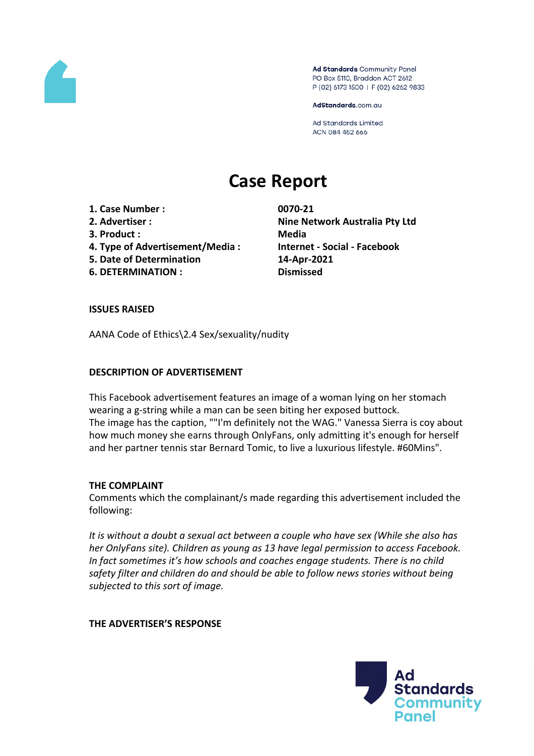

Ad Standards Community Panel PO Box 5110, Braddon ACT 2612 P (02) 6173 1500 | F (02) 6262 9833

AdStandards.com.au

**Ad Standards Limited** ACN 084 452 666

# **Case Report**

- **1. Case Number : 0070-21**
- 
- **3. Product : Media**
- **4. Type of Advertisement/Media : Internet - Social - Facebook**
- **5. Date of Determination 14-Apr-2021**
- **6. DETERMINATION : Dismissed**

**2. Advertiser : Nine Network Australia Pty Ltd**

# **ISSUES RAISED**

AANA Code of Ethics\2.4 Sex/sexuality/nudity

# **DESCRIPTION OF ADVERTISEMENT**

This Facebook advertisement features an image of a woman lying on her stomach wearing a g-string while a man can be seen biting her exposed buttock. The image has the caption, ""I'm definitely not the WAG." Vanessa Sierra is coy about how much money she earns through OnlyFans, only admitting it's enough for herself and her partner tennis star Bernard Tomic, to live a luxurious lifestyle. #60Mins".

# **THE COMPLAINT**

Comments which the complainant/s made regarding this advertisement included the following:

*It is without a doubt a sexual act between a couple who have sex (While she also has her OnlyFans site). Children as young as 13 have legal permission to access Facebook. In fact sometimes it's how schools and coaches engage students. There is no child safety filter and children do and should be able to follow news stories without being subjected to this sort of image.*

**THE ADVERTISER'S RESPONSE**

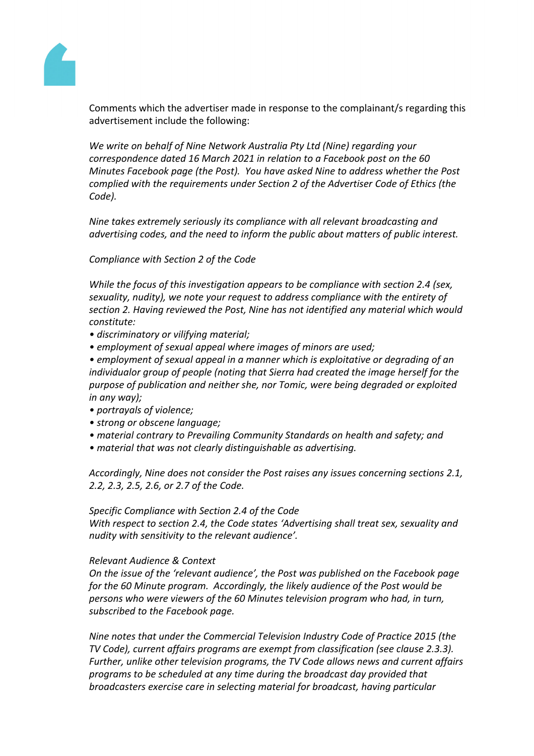

Comments which the advertiser made in response to the complainant/s regarding this advertisement include the following:

*We write on behalf of Nine Network Australia Pty Ltd (Nine) regarding your correspondence dated 16 March 2021 in relation to a Facebook post on the 60 Minutes Facebook page (the Post). You have asked Nine to address whether the Post complied with the requirements under Section 2 of the Advertiser Code of Ethics (the Code).*

*Nine takes extremely seriously its compliance with all relevant broadcasting and advertising codes, and the need to inform the public about matters of public interest.*

*Compliance with Section 2 of the Code*

*While the focus of this investigation appears to be compliance with section 2.4 (sex, sexuality, nudity), we note your request to address compliance with the entirety of section 2. Having reviewed the Post, Nine has not identified any material which would constitute:*

- *• discriminatory or vilifying material;*
- *• employment of sexual appeal where images of minors are used;*

*• employment of sexual appeal in a manner which is exploitative or degrading of an individualor group of people (noting that Sierra had created the image herself for the purpose of publication and neither she, nor Tomic, were being degraded or exploited in any way);*

- *• portrayals of violence;*
- *• strong or obscene language;*
- *• material contrary to Prevailing Community Standards on health and safety; and*
- *• material that was not clearly distinguishable as advertising.*

*Accordingly, Nine does not consider the Post raises any issues concerning sections 2.1, 2.2, 2.3, 2.5, 2.6, or 2.7 of the Code.*

## *Specific Compliance with Section 2.4 of the Code*

*With respect to section 2.4, the Code states 'Advertising shall treat sex, sexuality and nudity with sensitivity to the relevant audience'.* 

## *Relevant Audience & Context*

*On the issue of the 'relevant audience', the Post was published on the Facebook page for the 60 Minute program. Accordingly, the likely audience of the Post would be persons who were viewers of the 60 Minutes television program who had, in turn, subscribed to the Facebook page.*

*Nine notes that under the Commercial Television Industry Code of Practice 2015 (the TV Code), current affairs programs are exempt from classification (see clause 2.3.3). Further, unlike other television programs, the TV Code allows news and current affairs programs to be scheduled at any time during the broadcast day provided that broadcasters exercise care in selecting material for broadcast, having particular*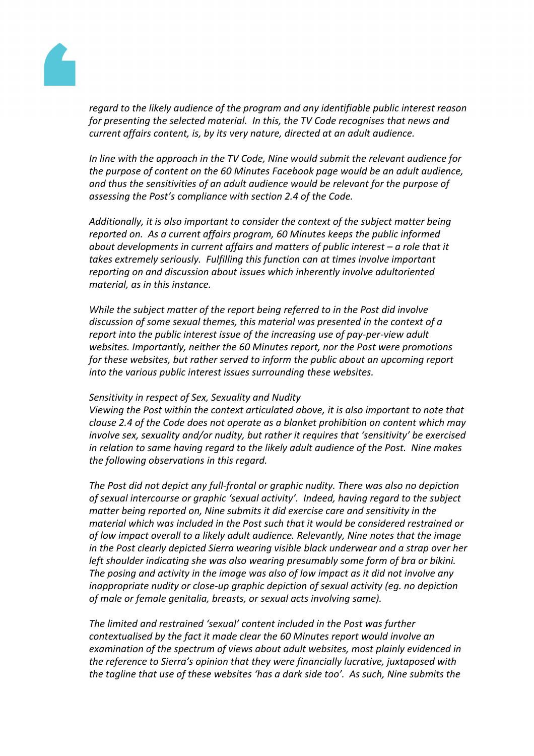

*regard to the likely audience of the program and any identifiable public interest reason for presenting the selected material. In this, the TV Code recognises that news and current affairs content, is, by its very nature, directed at an adult audience.* 

*In line with the approach in the TV Code, Nine would submit the relevant audience for the purpose of content on the 60 Minutes Facebook page would be an adult audience, and thus the sensitivities of an adult audience would be relevant for the purpose of assessing the Post's compliance with section 2.4 of the Code.*

*Additionally, it is also important to consider the context of the subject matter being reported on. As a current affairs program, 60 Minutes keeps the public informed about developments in current affairs and matters of public interest – a role that it takes extremely seriously. Fulfilling this function can at times involve important reporting on and discussion about issues which inherently involve adultoriented material, as in this instance.*

*While the subject matter of the report being referred to in the Post did involve discussion of some sexual themes, this material was presented in the context of a report into the public interest issue of the increasing use of pay-per-view adult websites. Importantly, neither the 60 Minutes report, nor the Post were promotions for these websites, but rather served to inform the public about an upcoming report into the various public interest issues surrounding these websites.*

## *Sensitivity in respect of Sex, Sexuality and Nudity*

*Viewing the Post within the context articulated above, it is also important to note that clause 2.4 of the Code does not operate as a blanket prohibition on content which may involve sex, sexuality and/or nudity, but rather it requires that 'sensitivity' be exercised in relation to same having regard to the likely adult audience of the Post. Nine makes the following observations in this regard.*

*The Post did not depict any full-frontal or graphic nudity. There was also no depiction of sexual intercourse or graphic 'sexual activity'. Indeed, having regard to the subject matter being reported on, Nine submits it did exercise care and sensitivity in the material which was included in the Post such that it would be considered restrained or of low impact overall to a likely adult audience. Relevantly, Nine notes that the image in the Post clearly depicted Sierra wearing visible black underwear and a strap over her left shoulder indicating she was also wearing presumably some form of bra or bikini. The posing and activity in the image was also of low impact as it did not involve any inappropriate nudity or close-up graphic depiction of sexual activity (eg. no depiction of male or female genitalia, breasts, or sexual acts involving same).*

*The limited and restrained 'sexual' content included in the Post was further contextualised by the fact it made clear the 60 Minutes report would involve an examination of the spectrum of views about adult websites, most plainly evidenced in the reference to Sierra's opinion that they were financially lucrative, juxtaposed with the tagline that use of these websites 'has a dark side too'. As such, Nine submits the*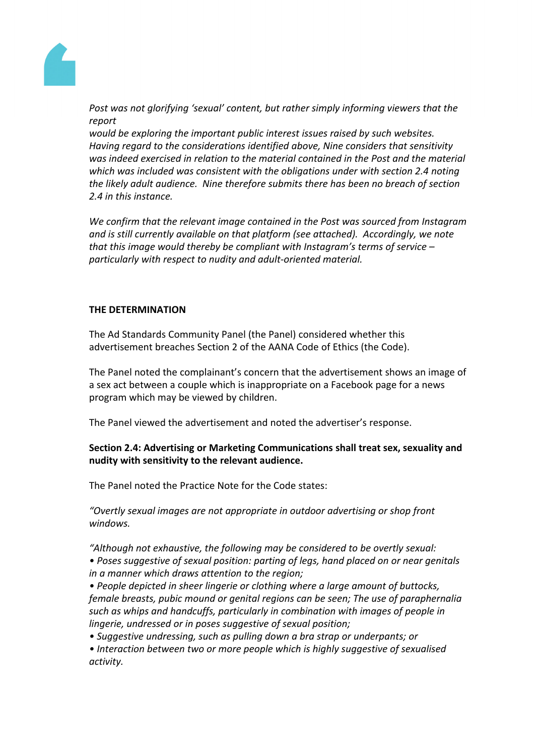

*Post was not glorifying 'sexual' content, but rather simply informing viewers that the report*

*would be exploring the important public interest issues raised by such websites. Having regard to the considerations identified above, Nine considers that sensitivity was indeed exercised in relation to the material contained in the Post and the material which was included was consistent with the obligations under with section 2.4 noting the likely adult audience. Nine therefore submits there has been no breach of section 2.4 in this instance.* 

*We confirm that the relevant image contained in the Post was sourced from Instagram and is still currently available on that platform (see attached). Accordingly, we note that this image would thereby be compliant with Instagram's terms of service – particularly with respect to nudity and adult-oriented material.*

# **THE DETERMINATION**

The Ad Standards Community Panel (the Panel) considered whether this advertisement breaches Section 2 of the AANA Code of Ethics (the Code).

The Panel noted the complainant's concern that the advertisement shows an image of a sex act between a couple which is inappropriate on a Facebook page for a news program which may be viewed by children.

The Panel viewed the advertisement and noted the advertiser's response.

# **Section 2.4: Advertising or Marketing Communications shall treat sex, sexuality and nudity with sensitivity to the relevant audience.**

The Panel noted the Practice Note for the Code states:

*"Overtly sexual images are not appropriate in outdoor advertising or shop front windows.*

*"Although not exhaustive, the following may be considered to be overtly sexual:*

*• Poses suggestive of sexual position: parting of legs, hand placed on or near genitals in a manner which draws attention to the region;*

*• People depicted in sheer lingerie or clothing where a large amount of buttocks, female breasts, pubic mound or genital regions can be seen; The use of paraphernalia such as whips and handcuffs, particularly in combination with images of people in lingerie, undressed or in poses suggestive of sexual position;*

*• Suggestive undressing, such as pulling down a bra strap or underpants; or*

*• Interaction between two or more people which is highly suggestive of sexualised activity.*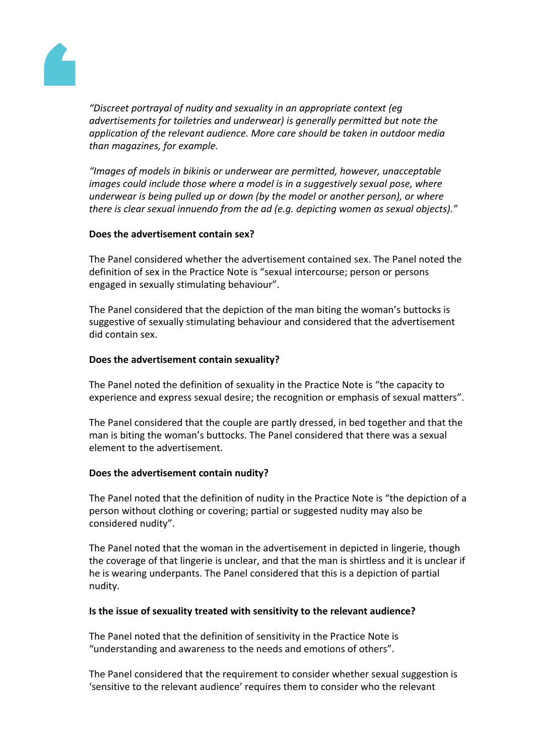

*"Discreet portrayal of nudity and sexuality in an appropriate context (eg advertisements for toiletries and underwear) is generally permitted but note the application of the relevant audience. More care should be taken in outdoor media than magazines, for example.*

*"Images of models in bikinis or underwear are permitted, however, unacceptable images could include those where a model is in a suggestively sexual pose, where underwear is being pulled up or down (by the model or another person), or where there is clear sexual innuendo from the ad (e.g. depicting women as sexual objects)."*

# **Does the advertisement contain sex?**

The Panel considered whether the advertisement contained sex. The Panel noted the definition of sex in the Practice Note is "sexual intercourse; person or persons engaged in sexually stimulating behaviour".

The Panel considered that the depiction of the man biting the woman's buttocks is suggestive of sexually stimulating behaviour and considered that the advertisement did contain sex.

# **Does the advertisement contain sexuality?**

The Panel noted the definition of sexuality in the Practice Note is "the capacity to experience and express sexual desire; the recognition or emphasis of sexual matters".

The Panel considered that the couple are partly dressed, in bed together and that the man is biting the woman's buttocks. The Panel considered that there was a sexual element to the advertisement.

# **Does the advertisement contain nudity?**

The Panel noted that the definition of nudity in the Practice Note is "the depiction of a person without clothing or covering; partial or suggested nudity may also be considered nudity".

The Panel noted that the woman in the advertisement in depicted in lingerie, though the coverage of that lingerie is unclear, and that the man is shirtless and it is unclear if he is wearing underpants. The Panel considered that this is a depiction of partial nudity.

# **Is the issue of sexuality treated with sensitivity to the relevant audience?**

The Panel noted that the definition of sensitivity in the Practice Note is "understanding and awareness to the needs and emotions of others".

The Panel considered that the requirement to consider whether sexual suggestion is 'sensitive to the relevant audience' requires them to consider who the relevant